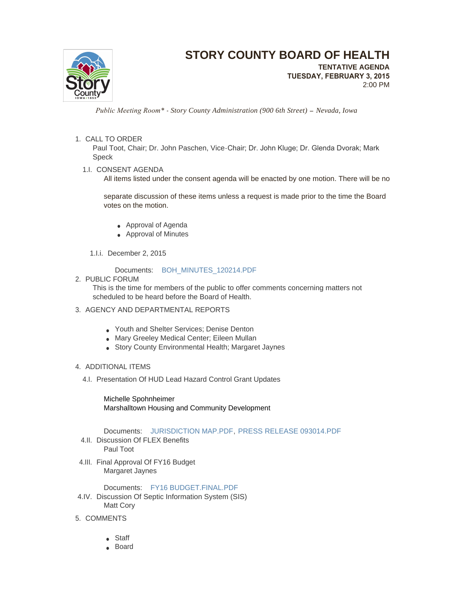

# **STORY COUNTY BOARD OF HEALTH**

**TENTATIVE AGENDA TUESDAY, FEBRUARY 3, 2015** 2:00 PM

 *Public Meeting Room\* - Story County Administration (900 6th Street) – Nevada, Iowa*

### 1. CALL TO ORDER

Paul Toot, Chair; Dr. John Paschen, Vice-Chair; Dr. John Kluge; Dr. Glenda Dvorak; Mark Speck

1.I. CONSENT AGENDA

All items listed under the consent agenda will be enacted by one motion. There will be no

separate discussion of these items unless a request is made prior to the time the Board votes on the motion.

- Approval of Agenda
- Approval of Minutes
- 1.I.i. December 2, 2015

Documents: [BOH\\_MINUTES\\_120214.PDF](http://www.storycountyiowa.gov/AgendaCenter/ViewFile/Item/3933?fileID=3162)

2. PUBLIC FORUM

This is the time for members of the public to offer comments concerning matters not scheduled to be heard before the Board of Health.

- 3. AGENCY AND DEPARTMENTAL REPORTS
	- Youth and Shelter Services; Denise Denton
	- Mary Greeley Medical Center; Eileen Mullan
	- Story County Environmental Health; Margaret Jaynes

### 4. ADDITIONAL ITEMS

4.I. Presentation Of HUD Lead Hazard Control Grant Updates

Michelle Spohnheimer Marshalltown Housing and Community Development

## Documents: [JURISDICTION MAP.PDF](http://www.storycountyiowa.gov/AgendaCenter/ViewFile/Item/3892?fileID=3127), [PRESS RELEASE 093014.PDF](http://www.storycountyiowa.gov/AgendaCenter/ViewFile/Item/3892?fileID=3167)

- 4.II. Discussion Of FLEX Benefits Paul Toot
- 4.III. Final Approval Of FY16 Budget Margaret Jaynes

Documents: [FY16 BUDGET.FINAL.PDF](http://www.storycountyiowa.gov/AgendaCenter/ViewFile/Item/3938?fileID=3165)

- 4.IV. Discussion Of Septic Information System (SIS) Matt Cory
- 5. COMMENTS
	- Staff
	- Board